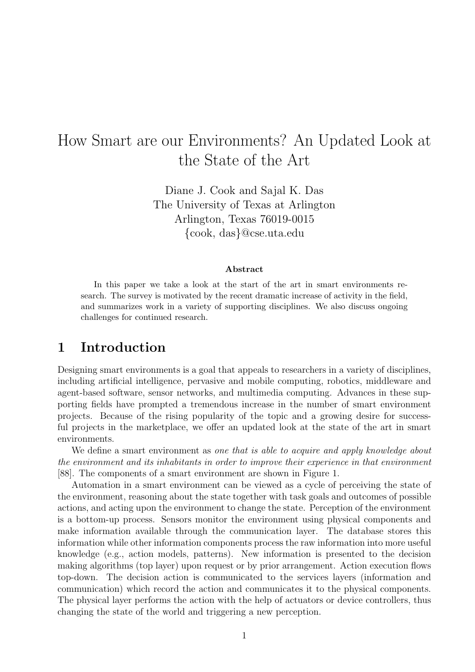# How Smart are our Environments? An Updated Look at the State of the Art

Diane J. Cook and Sajal K. Das The University of Texas at Arlington Arlington, Texas 76019-0015 {cook, das}@cse.uta.edu

#### Abstract

In this paper we take a look at the start of the art in smart environments research. The survey is motivated by the recent dramatic increase of activity in the field, and summarizes work in a variety of supporting disciplines. We also discuss ongoing challenges for continued research.

### 1 Introduction

Designing smart environments is a goal that appeals to researchers in a variety of disciplines, including artificial intelligence, pervasive and mobile computing, robotics, middleware and agent-based software, sensor networks, and multimedia computing. Advances in these supporting fields have prompted a tremendous increase in the number of smart environment projects. Because of the rising popularity of the topic and a growing desire for successful projects in the marketplace, we offer an updated look at the state of the art in smart environments.

We define a smart environment as one that is able to acquire and apply knowledge about the environment and its inhabitants in order to improve their experience in that environment [88]. The components of a smart environment are shown in Figure 1.

Automation in a smart environment can be viewed as a cycle of perceiving the state of the environment, reasoning about the state together with task goals and outcomes of possible actions, and acting upon the environment to change the state. Perception of the environment is a bottom-up process. Sensors monitor the environment using physical components and make information available through the communication layer. The database stores this information while other information components process the raw information into more useful knowledge (e.g., action models, patterns). New information is presented to the decision making algorithms (top layer) upon request or by prior arrangement. Action execution flows top-down. The decision action is communicated to the services layers (information and communication) which record the action and communicates it to the physical components. The physical layer performs the action with the help of actuators or device controllers, thus changing the state of the world and triggering a new perception.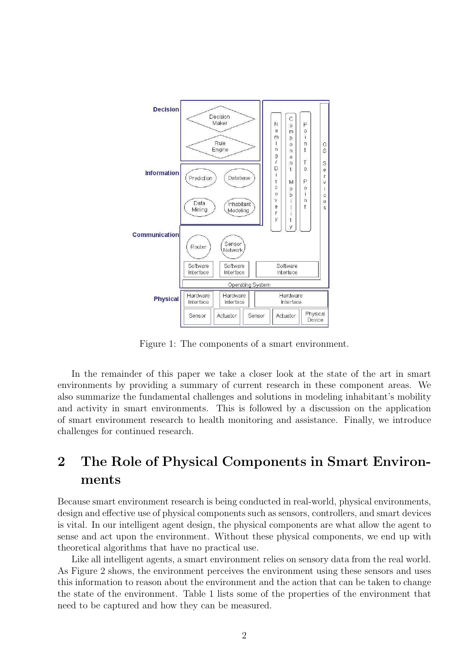

Figure 1: The components of a smart environment.

In the remainder of this paper we take a closer look at the state of the art in smart environments by providing a summary of current research in these component areas. We also summarize the fundamental challenges and solutions in modeling inhabitant's mobility and activity in smart environments. This is followed by a discussion on the application of smart environment research to health monitoring and assistance. Finally, we introduce challenges for continued research.

# 2 The Role of Physical Components in Smart Environments

Because smart environment research is being conducted in real-world, physical environments, design and effective use of physical components such as sensors, controllers, and smart devices is vital. In our intelligent agent design, the physical components are what allow the agent to sense and act upon the environment. Without these physical components, we end up with theoretical algorithms that have no practical use.

Like all intelligent agents, a smart environment relies on sensory data from the real world. As Figure 2 shows, the environment perceives the environment using these sensors and uses this information to reason about the environment and the action that can be taken to change the state of the environment. Table 1 lists some of the properties of the environment that need to be captured and how they can be measured.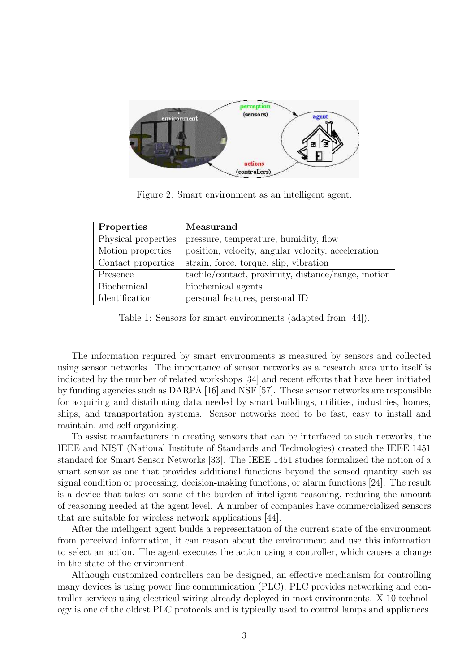

Figure 2: Smart environment as an intelligent agent.

| Properties          | Measurand                                          |
|---------------------|----------------------------------------------------|
| Physical properties | pressure, temperature, humidity, flow              |
| Motion properties   | position, velocity, angular velocity, acceleration |
| Contact properties  | strain, force, torque, slip, vibration             |
| Presence            | tactile/contact, proximity, distance/range, motion |
| Biochemical         | biochemical agents                                 |
| Identification      | personal features, personal ID                     |

Table 1: Sensors for smart environments (adapted from [44]).

The information required by smart environments is measured by sensors and collected using sensor networks. The importance of sensor networks as a research area unto itself is indicated by the number of related workshops [34] and recent efforts that have been initiated by funding agencies such as DARPA [16] and NSF [57]. These sensor networks are responsible for acquiring and distributing data needed by smart buildings, utilities, industries, homes, ships, and transportation systems. Sensor networks need to be fast, easy to install and maintain, and self-organizing.

To assist manufacturers in creating sensors that can be interfaced to such networks, the IEEE and NIST (National Institute of Standards and Technologies) created the IEEE 1451 standard for Smart Sensor Networks [33]. The IEEE 1451 studies formalized the notion of a smart sensor as one that provides additional functions beyond the sensed quantity such as signal condition or processing, decision-making functions, or alarm functions [24]. The result is a device that takes on some of the burden of intelligent reasoning, reducing the amount of reasoning needed at the agent level. A number of companies have commercialized sensors that are suitable for wireless network applications [44].

After the intelligent agent builds a representation of the current state of the environment from perceived information, it can reason about the environment and use this information to select an action. The agent executes the action using a controller, which causes a change in the state of the environment.

Although customized controllers can be designed, an effective mechanism for controlling many devices is using power line communication (PLC). PLC provides networking and controller services using electrical wiring already deployed in most environments. X-10 technology is one of the oldest PLC protocols and is typically used to control lamps and appliances.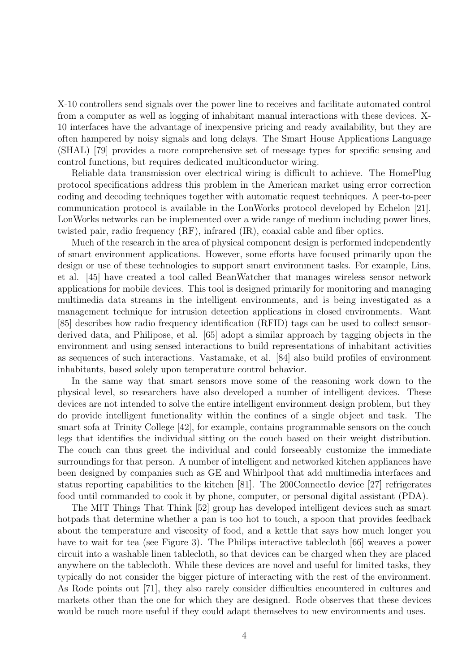X-10 controllers send signals over the power line to receives and facilitate automated control from a computer as well as logging of inhabitant manual interactions with these devices. X-10 interfaces have the advantage of inexpensive pricing and ready availability, but they are often hampered by noisy signals and long delays. The Smart House Applications Language (SHAL) [79] provides a more comprehensive set of message types for specific sensing and control functions, but requires dedicated multiconductor wiring.

Reliable data transmission over electrical wiring is difficult to achieve. The HomePlug protocol specifications address this problem in the American market using error correction coding and decoding techniques together with automatic request techniques. A peer-to-peer communication protocol is available in the LonWorks protocol developed by Echelon [21]. LonWorks networks can be implemented over a wide range of medium including power lines, twisted pair, radio frequency (RF), infrared (IR), coaxial cable and fiber optics.

Much of the research in the area of physical component design is performed independently of smart environment applications. However, some efforts have focused primarily upon the design or use of these technologies to support smart environment tasks. For example, Lins, et al. [45] have created a tool called BeanWatcher that manages wireless sensor network applications for mobile devices. This tool is designed primarily for monitoring and managing multimedia data streams in the intelligent environments, and is being investigated as a management technique for intrusion detection applications in closed environments. Want [85] describes how radio frequency identification (RFID) tags can be used to collect sensorderived data, and Philipose, et al. [65] adopt a similar approach by tagging objects in the environment and using sensed interactions to build representations of inhabitant activities as sequences of such interactions. Vastamake, et al. [84] also build profiles of environment inhabitants, based solely upon temperature control behavior.

In the same way that smart sensors move some of the reasoning work down to the physical level, so researchers have also developed a number of intelligent devices. These devices are not intended to solve the entire intelligent environment design problem, but they do provide intelligent functionality within the confines of a single object and task. The smart sofa at Trinity College [42], for example, contains programmable sensors on the couch legs that identifies the individual sitting on the couch based on their weight distribution. The couch can thus greet the individual and could forseeably customize the immediate surroundings for that person. A number of intelligent and networked kitchen appliances have been designed by companies such as GE and Whirlpool that add multimedia interfaces and status reporting capabilities to the kitchen [81]. The 200ConnectIo device [27] refrigerates food until commanded to cook it by phone, computer, or personal digital assistant (PDA).

The MIT Things That Think [52] group has developed intelligent devices such as smart hotpads that determine whether a pan is too hot to touch, a spoon that provides feedback about the temperature and viscosity of food, and a kettle that says how much longer you have to wait for tea (see Figure 3). The Philips interactive tablecloth [66] weaves a power circuit into a washable linen tablecloth, so that devices can be charged when they are placed anywhere on the tablecloth. While these devices are novel and useful for limited tasks, they typically do not consider the bigger picture of interacting with the rest of the environment. As Rode points out [71], they also rarely consider difficulties encountered in cultures and markets other than the one for which they are designed. Rode observes that these devices would be much more useful if they could adapt themselves to new environments and uses.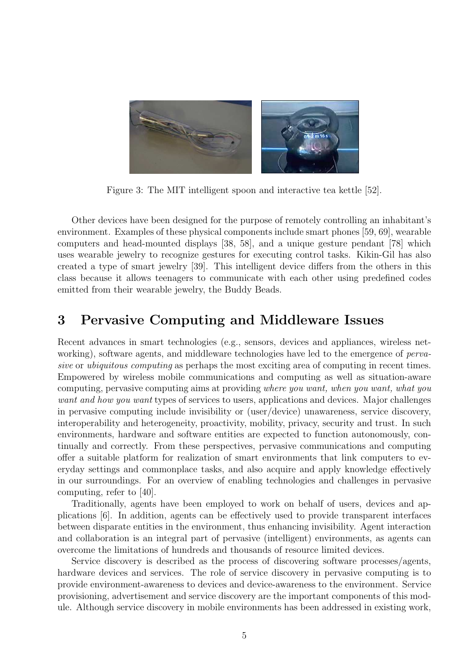

Figure 3: The MIT intelligent spoon and interactive tea kettle [52].

Other devices have been designed for the purpose of remotely controlling an inhabitant's environment. Examples of these physical components include smart phones [59, 69], wearable computers and head-mounted displays [38, 58], and a unique gesture pendant [78] which uses wearable jewelry to recognize gestures for executing control tasks. Kikin-Gil has also created a type of smart jewelry [39]. This intelligent device differs from the others in this class because it allows teenagers to communicate with each other using predefined codes emitted from their wearable jewelry, the Buddy Beads.

### 3 Pervasive Computing and Middleware Issues

Recent advances in smart technologies (e.g., sensors, devices and appliances, wireless networking), software agents, and middleware technologies have led to the emergence of *perva*sive or *ubiquitous computing* as perhaps the most exciting area of computing in recent times. Empowered by wireless mobile communications and computing as well as situation-aware computing, pervasive computing aims at providing where you want, when you want, what you want and how you want types of services to users, applications and devices. Major challenges in pervasive computing include invisibility or (user/device) unawareness, service discovery, interoperability and heterogeneity, proactivity, mobility, privacy, security and trust. In such environments, hardware and software entities are expected to function autonomously, continually and correctly. From these perspectives, pervasive communications and computing offer a suitable platform for realization of smart environments that link computers to everyday settings and commonplace tasks, and also acquire and apply knowledge effectively in our surroundings. For an overview of enabling technologies and challenges in pervasive computing, refer to [40].

Traditionally, agents have been employed to work on behalf of users, devices and applications [6]. In addition, agents can be effectively used to provide transparent interfaces between disparate entities in the environment, thus enhancing invisibility. Agent interaction and collaboration is an integral part of pervasive (intelligent) environments, as agents can overcome the limitations of hundreds and thousands of resource limited devices.

Service discovery is described as the process of discovering software processes/agents, hardware devices and services. The role of service discovery in pervasive computing is to provide environment-awareness to devices and device-awareness to the environment. Service provisioning, advertisement and service discovery are the important components of this module. Although service discovery in mobile environments has been addressed in existing work,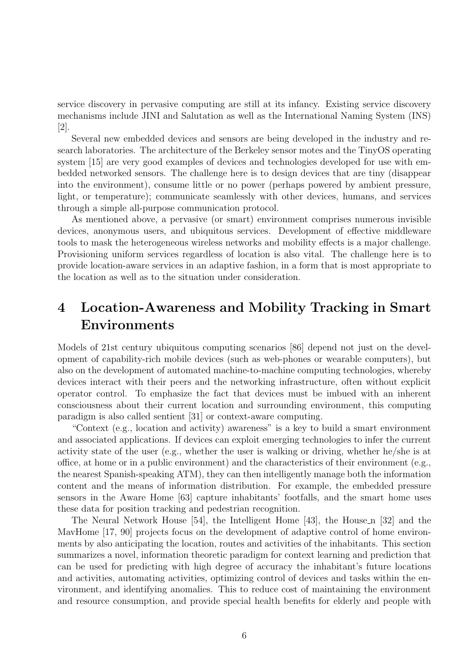service discovery in pervasive computing are still at its infancy. Existing service discovery mechanisms include JINI and Salutation as well as the International Naming System (INS) [2].

Several new embedded devices and sensors are being developed in the industry and research laboratories. The architecture of the Berkeley sensor motes and the TinyOS operating system [15] are very good examples of devices and technologies developed for use with embedded networked sensors. The challenge here is to design devices that are tiny (disappear into the environment), consume little or no power (perhaps powered by ambient pressure, light, or temperature); communicate seamlessly with other devices, humans, and services through a simple all-purpose communication protocol.

As mentioned above, a pervasive (or smart) environment comprises numerous invisible devices, anonymous users, and ubiquitous services. Development of effective middleware tools to mask the heterogeneous wireless networks and mobility effects is a major challenge. Provisioning uniform services regardless of location is also vital. The challenge here is to provide location-aware services in an adaptive fashion, in a form that is most appropriate to the location as well as to the situation under consideration.

## 4 Location-Awareness and Mobility Tracking in Smart Environments

Models of 21st century ubiquitous computing scenarios [86] depend not just on the development of capability-rich mobile devices (such as web-phones or wearable computers), but also on the development of automated machine-to-machine computing technologies, whereby devices interact with their peers and the networking infrastructure, often without explicit operator control. To emphasize the fact that devices must be imbued with an inherent consciousness about their current location and surrounding environment, this computing paradigm is also called sentient [31] or context-aware computing.

"Context (e.g., location and activity) awareness" is a key to build a smart environment and associated applications. If devices can exploit emerging technologies to infer the current activity state of the user (e.g., whether the user is walking or driving, whether he/she is at office, at home or in a public environment) and the characteristics of their environment (e.g., the nearest Spanish-speaking ATM), they can then intelligently manage both the information content and the means of information distribution. For example, the embedded pressure sensors in the Aware Home [63] capture inhabitants' footfalls, and the smart home uses these data for position tracking and pedestrian recognition.

The Neural Network House [54], the Intelligent Home [43], the House n [32] and the MavHome [17, 90] projects focus on the development of adaptive control of home environments by also anticipating the location, routes and activities of the inhabitants. This section summarizes a novel, information theoretic paradigm for context learning and prediction that can be used for predicting with high degree of accuracy the inhabitant's future locations and activities, automating activities, optimizing control of devices and tasks within the environment, and identifying anomalies. This to reduce cost of maintaining the environment and resource consumption, and provide special health benefits for elderly and people with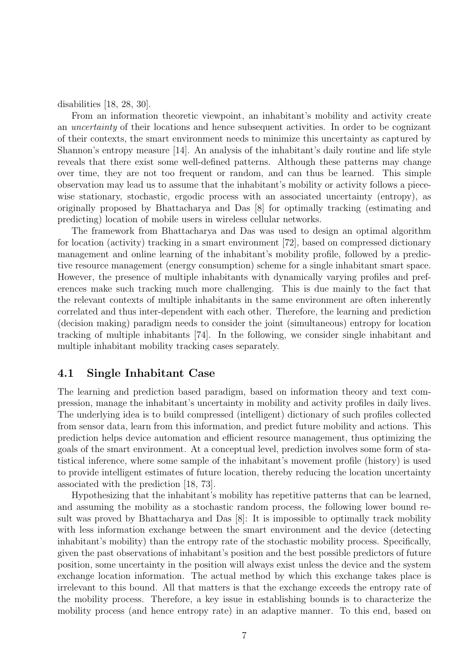disabilities [18, 28, 30].

From an information theoretic viewpoint, an inhabitant's mobility and activity create an uncertainty of their locations and hence subsequent activities. In order to be cognizant of their contexts, the smart environment needs to minimize this uncertainty as captured by Shannon's entropy measure [14]. An analysis of the inhabitant's daily routine and life style reveals that there exist some well-defined patterns. Although these patterns may change over time, they are not too frequent or random, and can thus be learned. This simple observation may lead us to assume that the inhabitant's mobility or activity follows a piecewise stationary, stochastic, ergodic process with an associated uncertainty (entropy), as originally proposed by Bhattacharya and Das [8] for optimally tracking (estimating and predicting) location of mobile users in wireless cellular networks.

The framework from Bhattacharya and Das was used to design an optimal algorithm for location (activity) tracking in a smart environment [72], based on compressed dictionary management and online learning of the inhabitant's mobility profile, followed by a predictive resource management (energy consumption) scheme for a single inhabitant smart space. However, the presence of multiple inhabitants with dynamically varying profiles and preferences make such tracking much more challenging. This is due mainly to the fact that the relevant contexts of multiple inhabitants in the same environment are often inherently correlated and thus inter-dependent with each other. Therefore, the learning and prediction (decision making) paradigm needs to consider the joint (simultaneous) entropy for location tracking of multiple inhabitants [74]. In the following, we consider single inhabitant and multiple inhabitant mobility tracking cases separately.

#### 4.1 Single Inhabitant Case

The learning and prediction based paradigm, based on information theory and text compression, manage the inhabitant's uncertainty in mobility and activity profiles in daily lives. The underlying idea is to build compressed (intelligent) dictionary of such profiles collected from sensor data, learn from this information, and predict future mobility and actions. This prediction helps device automation and efficient resource management, thus optimizing the goals of the smart environment. At a conceptual level, prediction involves some form of statistical inference, where some sample of the inhabitant's movement profile (history) is used to provide intelligent estimates of future location, thereby reducing the location uncertainty associated with the prediction [18, 73].

Hypothesizing that the inhabitant's mobility has repetitive patterns that can be learned, and assuming the mobility as a stochastic random process, the following lower bound result was proved by Bhattacharya and Das [8]: It is impossible to optimally track mobility with less information exchange between the smart environment and the device (detecting inhabitant's mobility) than the entropy rate of the stochastic mobility process. Specifically, given the past observations of inhabitant's position and the best possible predictors of future position, some uncertainty in the position will always exist unless the device and the system exchange location information. The actual method by which this exchange takes place is irrelevant to this bound. All that matters is that the exchange exceeds the entropy rate of the mobility process. Therefore, a key issue in establishing bounds is to characterize the mobility process (and hence entropy rate) in an adaptive manner. To this end, based on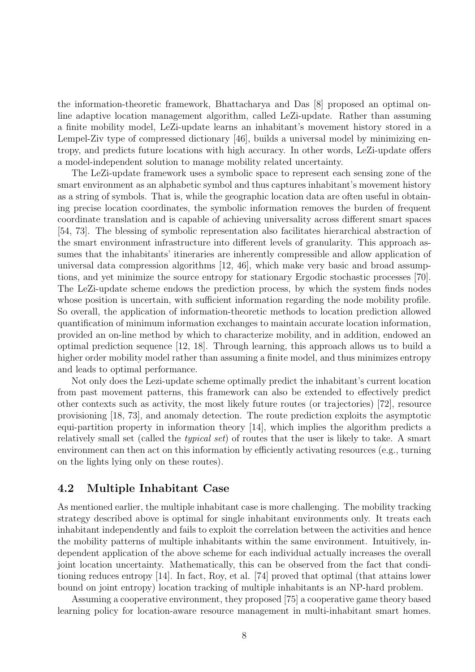the information-theoretic framework, Bhattacharya and Das [8] proposed an optimal online adaptive location management algorithm, called LeZi-update. Rather than assuming a finite mobility model, LeZi-update learns an inhabitant's movement history stored in a Lempel-Ziv type of compressed dictionary [46], builds a universal model by minimizing entropy, and predicts future locations with high accuracy. In other words, LeZi-update offers a model-independent solution to manage mobility related uncertainty.

The LeZi-update framework uses a symbolic space to represent each sensing zone of the smart environment as an alphabetic symbol and thus captures inhabitant's movement history as a string of symbols. That is, while the geographic location data are often useful in obtaining precise location coordinates, the symbolic information removes the burden of frequent coordinate translation and is capable of achieving universality across different smart spaces [54, 73]. The blessing of symbolic representation also facilitates hierarchical abstraction of the smart environment infrastructure into different levels of granularity. This approach assumes that the inhabitants' itineraries are inherently compressible and allow application of universal data compression algorithms [12, 46], which make very basic and broad assumptions, and yet minimize the source entropy for stationary Ergodic stochastic processes [70]. The LeZi-update scheme endows the prediction process, by which the system finds nodes whose position is uncertain, with sufficient information regarding the node mobility profile. So overall, the application of information-theoretic methods to location prediction allowed quantification of minimum information exchanges to maintain accurate location information, provided an on-line method by which to characterize mobility, and in addition, endowed an optimal prediction sequence [12, 18]. Through learning, this approach allows us to build a higher order mobility model rather than assuming a finite model, and thus minimizes entropy and leads to optimal performance.

Not only does the Lezi-update scheme optimally predict the inhabitant's current location from past movement patterns, this framework can also be extended to effectively predict other contexts such as activity, the most likely future routes (or trajectories) [72], resource provisioning [18, 73], and anomaly detection. The route prediction exploits the asymptotic equi-partition property in information theory [14], which implies the algorithm predicts a relatively small set (called the typical set) of routes that the user is likely to take. A smart environment can then act on this information by efficiently activating resources (e.g., turning on the lights lying only on these routes).

#### 4.2 Multiple Inhabitant Case

As mentioned earlier, the multiple inhabitant case is more challenging. The mobility tracking strategy described above is optimal for single inhabitant environments only. It treats each inhabitant independently and fails to exploit the correlation between the activities and hence the mobility patterns of multiple inhabitants within the same environment. Intuitively, independent application of the above scheme for each individual actually increases the overall joint location uncertainty. Mathematically, this can be observed from the fact that conditioning reduces entropy [14]. In fact, Roy, et al. [74] proved that optimal (that attains lower bound on joint entropy) location tracking of multiple inhabitants is an NP-hard problem.

Assuming a cooperative environment, they proposed [75] a cooperative game theory based learning policy for location-aware resource management in multi-inhabitant smart homes.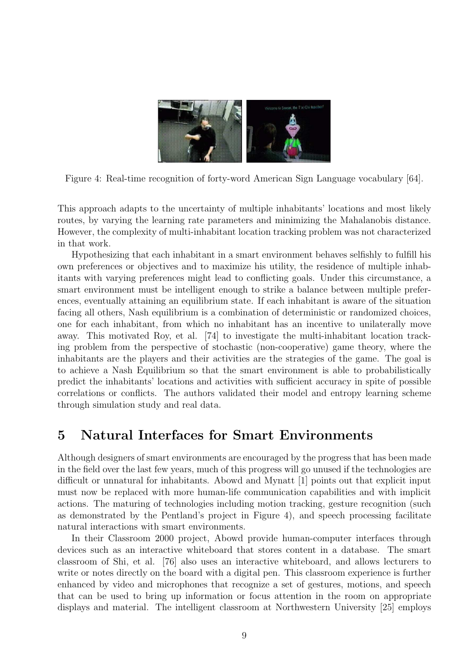

Figure 4: Real-time recognition of forty-word American Sign Language vocabulary [64].

This approach adapts to the uncertainty of multiple inhabitants' locations and most likely routes, by varying the learning rate parameters and minimizing the Mahalanobis distance. However, the complexity of multi-inhabitant location tracking problem was not characterized in that work.

Hypothesizing that each inhabitant in a smart environment behaves selfishly to fulfill his own preferences or objectives and to maximize his utility, the residence of multiple inhabitants with varying preferences might lead to conflicting goals. Under this circumstance, a smart environment must be intelligent enough to strike a balance between multiple preferences, eventually attaining an equilibrium state. If each inhabitant is aware of the situation facing all others, Nash equilibrium is a combination of deterministic or randomized choices, one for each inhabitant, from which no inhabitant has an incentive to unilaterally move away. This motivated Roy, et al. [74] to investigate the multi-inhabitant location tracking problem from the perspective of stochastic (non-cooperative) game theory, where the inhabitants are the players and their activities are the strategies of the game. The goal is to achieve a Nash Equilibrium so that the smart environment is able to probabilistically predict the inhabitants' locations and activities with sufficient accuracy in spite of possible correlations or conflicts. The authors validated their model and entropy learning scheme through simulation study and real data.

### 5 Natural Interfaces for Smart Environments

Although designers of smart environments are encouraged by the progress that has been made in the field over the last few years, much of this progress will go unused if the technologies are difficult or unnatural for inhabitants. Abowd and Mynatt [1] points out that explicit input must now be replaced with more human-life communication capabilities and with implicit actions. The maturing of technologies including motion tracking, gesture recognition (such as demonstrated by the Pentland's project in Figure 4), and speech processing facilitate natural interactions with smart environments.

In their Classroom 2000 project, Abowd provide human-computer interfaces through devices such as an interactive whiteboard that stores content in a database. The smart classroom of Shi, et al. [76] also uses an interactive whiteboard, and allows lecturers to write or notes directly on the board with a digital pen. This classroom experience is further enhanced by video and microphones that recognize a set of gestures, motions, and speech that can be used to bring up information or focus attention in the room on appropriate displays and material. The intelligent classroom at Northwestern University [25] employs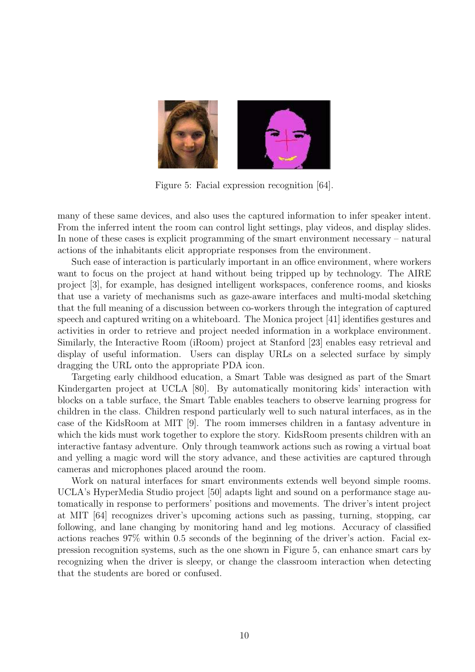

Figure 5: Facial expression recognition [64].

many of these same devices, and also uses the captured information to infer speaker intent. From the inferred intent the room can control light settings, play videos, and display slides. In none of these cases is explicit programming of the smart environment necessary – natural actions of the inhabitants elicit appropriate responses from the environment.

Such ease of interaction is particularly important in an office environment, where workers want to focus on the project at hand without being tripped up by technology. The AIRE project [3], for example, has designed intelligent workspaces, conference rooms, and kiosks that use a variety of mechanisms such as gaze-aware interfaces and multi-modal sketching that the full meaning of a discussion between co-workers through the integration of captured speech and captured writing on a whiteboard. The Monica project [41] identifies gestures and activities in order to retrieve and project needed information in a workplace environment. Similarly, the Interactive Room (iRoom) project at Stanford [23] enables easy retrieval and display of useful information. Users can display URLs on a selected surface by simply dragging the URL onto the appropriate PDA icon.

Targeting early childhood education, a Smart Table was designed as part of the Smart Kindergarten project at UCLA [80]. By automatically monitoring kids' interaction with blocks on a table surface, the Smart Table enables teachers to observe learning progress for children in the class. Children respond particularly well to such natural interfaces, as in the case of the KidsRoom at MIT [9]. The room immerses children in a fantasy adventure in which the kids must work together to explore the story. KidsRoom presents children with an interactive fantasy adventure. Only through teamwork actions such as rowing a virtual boat and yelling a magic word will the story advance, and these activities are captured through cameras and microphones placed around the room.

Work on natural interfaces for smart environments extends well beyond simple rooms. UCLA's HyperMedia Studio project [50] adapts light and sound on a performance stage automatically in response to performers' positions and movements. The driver's intent project at MIT [64] recognizes driver's upcoming actions such as passing, turning, stopping, car following, and lane changing by monitoring hand and leg motions. Accuracy of classified actions reaches 97% within 0.5 seconds of the beginning of the driver's action. Facial expression recognition systems, such as the one shown in Figure 5, can enhance smart cars by recognizing when the driver is sleepy, or change the classroom interaction when detecting that the students are bored or confused.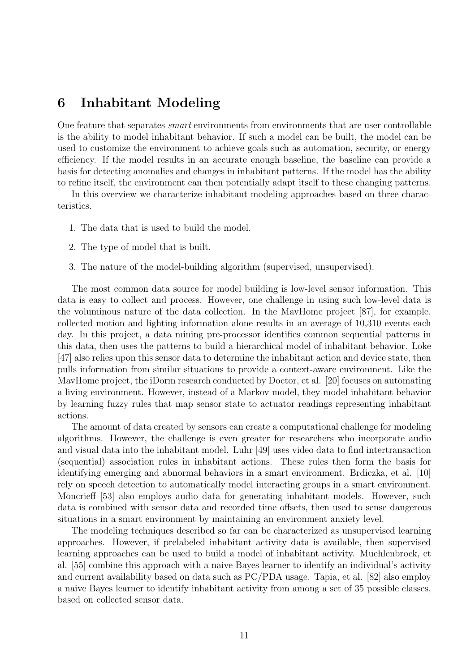### 6 Inhabitant Modeling

One feature that separates smart environments from environments that are user controllable is the ability to model inhabitant behavior. If such a model can be built, the model can be used to customize the environment to achieve goals such as automation, security, or energy efficiency. If the model results in an accurate enough baseline, the baseline can provide a basis for detecting anomalies and changes in inhabitant patterns. If the model has the ability to refine itself, the environment can then potentially adapt itself to these changing patterns.

In this overview we characterize inhabitant modeling approaches based on three characteristics.

- 1. The data that is used to build the model.
- 2. The type of model that is built.
- 3. The nature of the model-building algorithm (supervised, unsupervised).

The most common data source for model building is low-level sensor information. This data is easy to collect and process. However, one challenge in using such low-level data is the voluminous nature of the data collection. In the MavHome project [87], for example, collected motion and lighting information alone results in an average of 10,310 events each day. In this project, a data mining pre-processor identifies common sequential patterns in this data, then uses the patterns to build a hierarchical model of inhabitant behavior. Loke [47] also relies upon this sensor data to determine the inhabitant action and device state, then pulls information from similar situations to provide a context-aware environment. Like the MavHome project, the iDorm research conducted by Doctor, et al. [20] focuses on automating a living environment. However, instead of a Markov model, they model inhabitant behavior by learning fuzzy rules that map sensor state to actuator readings representing inhabitant actions.

The amount of data created by sensors can create a computational challenge for modeling algorithms. However, the challenge is even greater for researchers who incorporate audio and visual data into the inhabitant model. Luhr [49] uses video data to find intertransaction (sequential) association rules in inhabitant actions. These rules then form the basis for identifying emerging and abnormal behaviors in a smart environment. Brdiczka, et al. [10] rely on speech detection to automatically model interacting groups in a smart environment. Moncrieff [53] also employs audio data for generating inhabitant models. However, such data is combined with sensor data and recorded time offsets, then used to sense dangerous situations in a smart environment by maintaining an environment anxiety level.

The modeling techniques described so far can be characterized as unsupervised learning approaches. However, if prelabeled inhabitant activity data is available, then supervised learning approaches can be used to build a model of inhabitant activity. Muehlenbrock, et al. [55] combine this approach with a naive Bayes learner to identify an individual's activity and current availability based on data such as PC/PDA usage. Tapia, et al. [82] also employ a naive Bayes learner to identify inhabitant activity from among a set of 35 possible classes, based on collected sensor data.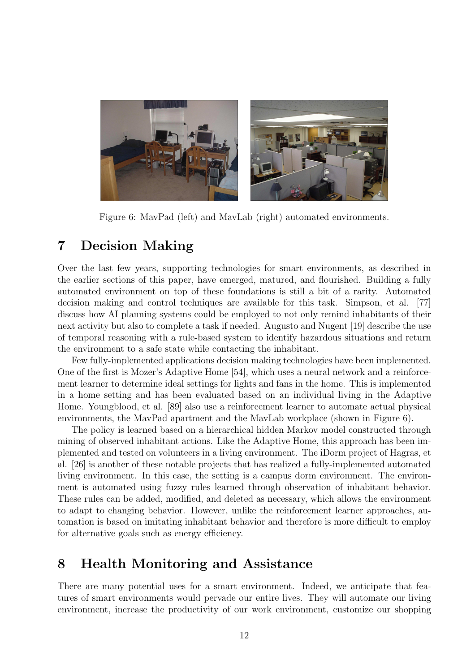

Figure 6: MavPad (left) and MavLab (right) automated environments.

### 7 Decision Making

Over the last few years, supporting technologies for smart environments, as described in the earlier sections of this paper, have emerged, matured, and flourished. Building a fully automated environment on top of these foundations is still a bit of a rarity. Automated decision making and control techniques are available for this task. Simpson, et al. [77] discuss how AI planning systems could be employed to not only remind inhabitants of their next activity but also to complete a task if needed. Augusto and Nugent [19] describe the use of temporal reasoning with a rule-based system to identify hazardous situations and return the environment to a safe state while contacting the inhabitant.

Few fully-implemented applications decision making technologies have been implemented. One of the first is Mozer's Adaptive Home [54], which uses a neural network and a reinforcement learner to determine ideal settings for lights and fans in the home. This is implemented in a home setting and has been evaluated based on an individual living in the Adaptive Home. Youngblood, et al. [89] also use a reinforcement learner to automate actual physical environments, the MavPad apartment and the MavLab workplace (shown in Figure 6).

The policy is learned based on a hierarchical hidden Markov model constructed through mining of observed inhabitant actions. Like the Adaptive Home, this approach has been implemented and tested on volunteers in a living environment. The iDorm project of Hagras, et al. [26] is another of these notable projects that has realized a fully-implemented automated living environment. In this case, the setting is a campus dorm environment. The environment is automated using fuzzy rules learned through observation of inhabitant behavior. These rules can be added, modified, and deleted as necessary, which allows the environment to adapt to changing behavior. However, unlike the reinforcement learner approaches, automation is based on imitating inhabitant behavior and therefore is more difficult to employ for alternative goals such as energy efficiency.

### 8 Health Monitoring and Assistance

There are many potential uses for a smart environment. Indeed, we anticipate that features of smart environments would pervade our entire lives. They will automate our living environment, increase the productivity of our work environment, customize our shopping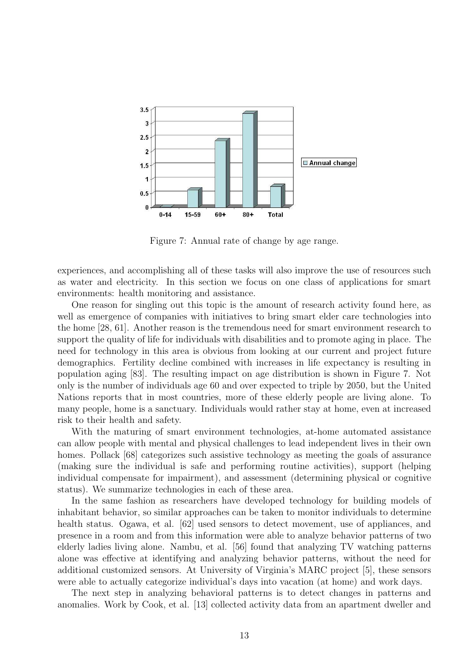

Figure 7: Annual rate of change by age range.

experiences, and accomplishing all of these tasks will also improve the use of resources such as water and electricity. In this section we focus on one class of applications for smart environments: health monitoring and assistance.

One reason for singling out this topic is the amount of research activity found here, as well as emergence of companies with initiatives to bring smart elder care technologies into the home [28, 61]. Another reason is the tremendous need for smart environment research to support the quality of life for individuals with disabilities and to promote aging in place. The need for technology in this area is obvious from looking at our current and project future demographics. Fertility decline combined with increases in life expectancy is resulting in population aging [83]. The resulting impact on age distribution is shown in Figure 7. Not only is the number of individuals age 60 and over expected to triple by 2050, but the United Nations reports that in most countries, more of these elderly people are living alone. To many people, home is a sanctuary. Individuals would rather stay at home, even at increased risk to their health and safety.

With the maturing of smart environment technologies, at-home automated assistance can allow people with mental and physical challenges to lead independent lives in their own homes. Pollack [68] categorizes such assistive technology as meeting the goals of assurance (making sure the individual is safe and performing routine activities), support (helping individual compensate for impairment), and assessment (determining physical or cognitive status). We summarize technologies in each of these area.

In the same fashion as researchers have developed technology for building models of inhabitant behavior, so similar approaches can be taken to monitor individuals to determine health status. Ogawa, et al. [62] used sensors to detect movement, use of appliances, and presence in a room and from this information were able to analyze behavior patterns of two elderly ladies living alone. Nambu, et al. [56] found that analyzing TV watching patterns alone was effective at identifying and analyzing behavior patterns, without the need for additional customized sensors. At University of Virginia's MARC project [5], these sensors were able to actually categorize individual's days into vacation (at home) and work days.

The next step in analyzing behavioral patterns is to detect changes in patterns and anomalies. Work by Cook, et al. [13] collected activity data from an apartment dweller and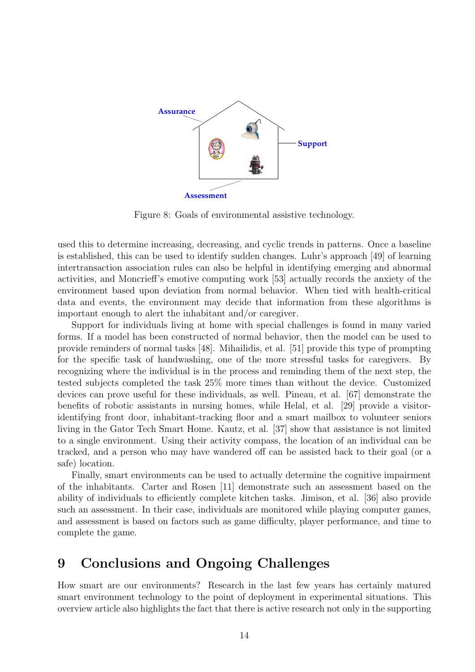

Figure 8: Goals of environmental assistive technology.

used this to determine increasing, decreasing, and cyclic trends in patterns. Once a baseline is established, this can be used to identify sudden changes. Luhr's approach [49] of learning intertransaction association rules can also be helpful in identifying emerging and abnormal activities, and Moncrieff's emotive computing work [53] actually records the anxiety of the environment based upon deviation from normal behavior. When tied with health-critical data and events, the environment may decide that information from these algorithms is important enough to alert the inhabitant and/or caregiver.

Support for individuals living at home with special challenges is found in many varied forms. If a model has been constructed of normal behavior, then the model can be used to provide reminders of normal tasks [48]. Mihailidis, et al. [51] provide this type of prompting for the specific task of handwashing, one of the more stressful tasks for caregivers. By recognizing where the individual is in the process and reminding them of the next step, the tested subjects completed the task 25% more times than without the device. Customized devices can prove useful for these individuals, as well. Pineau, et al. [67] demonstrate the benefits of robotic assistants in nursing homes, while Helal, et al. [29] provide a visitoridentifying front door, inhabitant-tracking floor and a smart mailbox to volunteer seniors living in the Gator Tech Smart Home. Kautz, et al. [37] show that assistance is not limited to a single environment. Using their activity compass, the location of an individual can be tracked, and a person who may have wandered off can be assisted back to their goal (or a safe) location.

Finally, smart environments can be used to actually determine the cognitive impairment of the inhabitants. Carter and Rosen [11] demonstrate such an assessment based on the ability of individuals to efficiently complete kitchen tasks. Jimison, et al. [36] also provide such an assessment. In their case, individuals are monitored while playing computer games, and assessment is based on factors such as game difficulty, player performance, and time to complete the game.

### 9 Conclusions and Ongoing Challenges

How smart are our environments? Research in the last few years has certainly matured smart environment technology to the point of deployment in experimental situations. This overview article also highlights the fact that there is active research not only in the supporting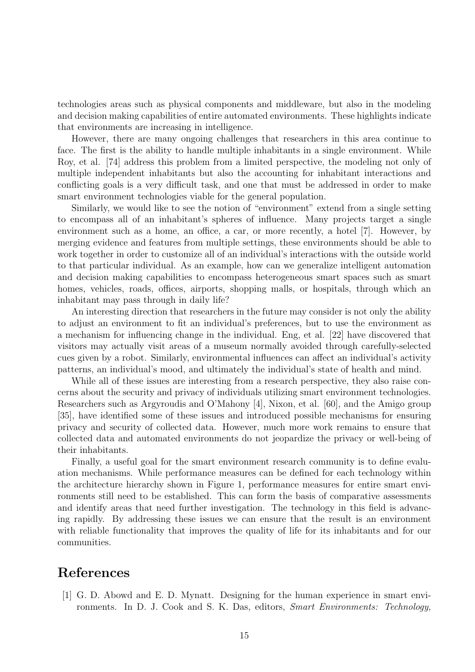technologies areas such as physical components and middleware, but also in the modeling and decision making capabilities of entire automated environments. These highlights indicate that environments are increasing in intelligence.

However, there are many ongoing challenges that researchers in this area continue to face. The first is the ability to handle multiple inhabitants in a single environment. While Roy, et al. [74] address this problem from a limited perspective, the modeling not only of multiple independent inhabitants but also the accounting for inhabitant interactions and conflicting goals is a very difficult task, and one that must be addressed in order to make smart environment technologies viable for the general population.

Similarly, we would like to see the notion of "environment" extend from a single setting to encompass all of an inhabitant's spheres of influence. Many projects target a single environment such as a home, an office, a car, or more recently, a hotel [7]. However, by merging evidence and features from multiple settings, these environments should be able to work together in order to customize all of an individual's interactions with the outside world to that particular individual. As an example, how can we generalize intelligent automation and decision making capabilities to encompass heterogeneous smart spaces such as smart homes, vehicles, roads, offices, airports, shopping malls, or hospitals, through which an inhabitant may pass through in daily life?

An interesting direction that researchers in the future may consider is not only the ability to adjust an environment to fit an individual's preferences, but to use the environment as a mechanism for influencing change in the individual. Eng, et al. [22] have discovered that visitors may actually visit areas of a museum normally avoided through carefully-selected cues given by a robot. Similarly, environmental influences can affect an individual's activity patterns, an individual's mood, and ultimately the individual's state of health and mind.

While all of these issues are interesting from a research perspective, they also raise concerns about the security and privacy of individuals utilizing smart environment technologies. Researchers such as Argyroudis and O'Mahony [4], Nixon, et al. [60], and the Amigo group [35], have identified some of these issues and introduced possible mechanisms for ensuring privacy and security of collected data. However, much more work remains to ensure that collected data and automated environments do not jeopardize the privacy or well-being of their inhabitants.

Finally, a useful goal for the smart environment research community is to define evaluation mechanisms. While performance measures can be defined for each technology within the architecture hierarchy shown in Figure 1, performance measures for entire smart environments still need to be established. This can form the basis of comparative assessments and identify areas that need further investigation. The technology in this field is advancing rapidly. By addressing these issues we can ensure that the result is an environment with reliable functionality that improves the quality of life for its inhabitants and for our communities.

### References

[1] G. D. Abowd and E. D. Mynatt. Designing for the human experience in smart environments. In D. J. Cook and S. K. Das, editors, Smart Environments: Technology,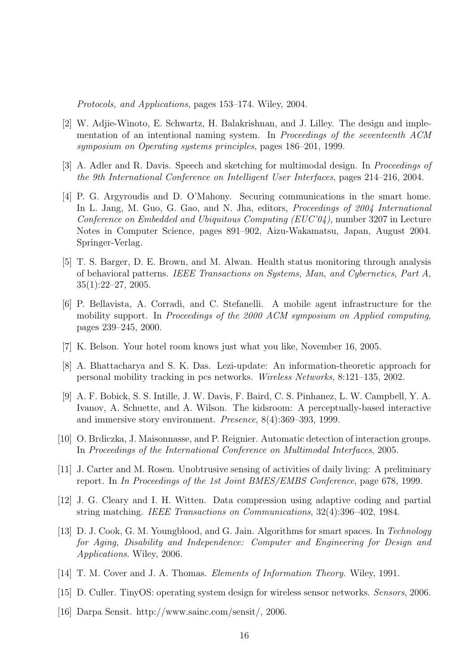Protocols, and Applications, pages 153–174. Wiley, 2004.

- [2] W. Adjie-Winoto, E. Schwartz, H. Balakrishnan, and J. Lilley. The design and implementation of an intentional naming system. In Proceedings of the seventeenth ACM symposium on Operating systems principles, pages 186–201, 1999.
- [3] A. Adler and R. Davis. Speech and sketching for multimodal design. In Proceedings of the 9th International Conference on Intelligent User Interfaces, pages 214–216, 2004.
- [4] P. G. Argyroudis and D. O'Mahony. Securing communications in the smart home. In L. Jang, M. Guo, G. Gao, and N. Jha, editors, *Proceedings of 2004 International* Conference on Embedded and Ubiquitous Computing (EUC'04), number 3207 in Lecture Notes in Computer Science, pages 891–902, Aizu-Wakamatsu, Japan, August 2004. Springer-Verlag.
- [5] T. S. Barger, D. E. Brown, and M. Alwan. Health status monitoring through analysis of behavioral patterns. IEEE Transactions on Systems, Man, and Cybernetics, Part A, 35(1):22–27, 2005.
- [6] P. Bellavista, A. Corradi, and C. Stefanelli. A mobile agent infrastructure for the mobility support. In Proceedings of the 2000 ACM symposium on Applied computing, pages 239–245, 2000.
- [7] K. Belson. Your hotel room knows just what you like, November 16, 2005.
- [8] A. Bhattacharya and S. K. Das. Lezi-update: An information-theoretic approach for personal mobility tracking in pcs networks. Wireless Networks, 8:121–135, 2002.
- [9] A. F. Bobick, S. S. Intille, J. W. Davis, F. Baird, C. S. Pinhanez, L. W. Campbell, Y. A. Ivanov, A. Schuette, and A. Wilson. The kidsroom: A perceptually-based interactive and immersive story environment. Presence, 8(4):369–393, 1999.
- [10] O. Brdiczka, J. Maisonnasse, and P. Reignier. Automatic detection of interaction groups. In Proceedings of the International Conference on Multimodal Interfaces, 2005.
- [11] J. Carter and M. Rosen. Unobtrusive sensing of activities of daily living: A preliminary report. In In Proceedings of the 1st Joint BMES/EMBS Conference, page 678, 1999.
- [12] J. G. Cleary and I. H. Witten. Data compression using adaptive coding and partial string matching. IEEE Transactions on Communications, 32(4):396–402, 1984.
- [13] D. J. Cook, G. M. Youngblood, and G. Jain. Algorithms for smart spaces. In Technology for Aging, Disability and Independence: Computer and Engineering for Design and Applications. Wiley, 2006.
- [14] T. M. Cover and J. A. Thomas. Elements of Information Theory. Wiley, 1991.
- [15] D. Culler. TinyOS: operating system design for wireless sensor networks. Sensors, 2006.
- [16] Darpa Sensit. http://www.sainc.com/sensit/, 2006.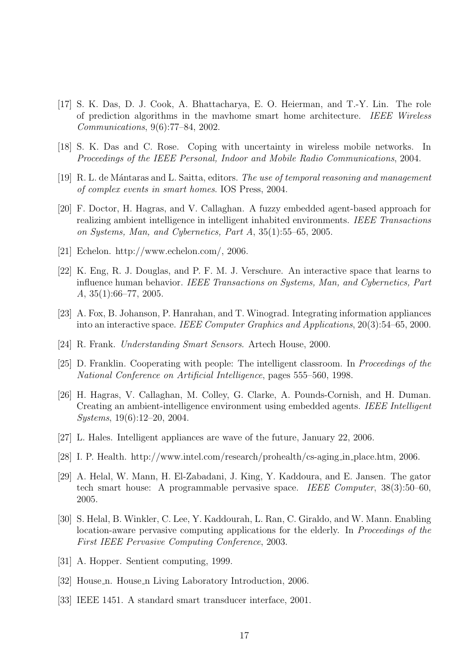- [17] S. K. Das, D. J. Cook, A. Bhattacharya, E. O. Heierman, and T.-Y. Lin. The role of prediction algorithms in the mavhome smart home architecture. IEEE Wireless Communications, 9(6):77–84, 2002.
- [18] S. K. Das and C. Rose. Coping with uncertainty in wireless mobile networks. In Proceedings of the IEEE Personal, Indoor and Mobile Radio Communications, 2004.
- [19] R. L. de M´antaras and L. Saitta, editors. The use of temporal reasoning and management of complex events in smart homes. IOS Press, 2004.
- [20] F. Doctor, H. Hagras, and V. Callaghan. A fuzzy embedded agent-based approach for realizing ambient intelligence in intelligent inhabited environments. IEEE Transactions on Systems, Man, and Cybernetics, Part A, 35(1):55–65, 2005.
- [21] Echelon. http://www.echelon.com/, 2006.
- [22] K. Eng, R. J. Douglas, and P. F. M. J. Verschure. An interactive space that learns to influence human behavior. IEEE Transactions on Systems, Man, and Cybernetics, Part A, 35(1):66–77, 2005.
- [23] A. Fox, B. Johanson, P. Hanrahan, and T. Winograd. Integrating information appliances into an interactive space. IEEE Computer Graphics and Applications, 20(3):54–65, 2000.
- [24] R. Frank. Understanding Smart Sensors. Artech House, 2000.
- [25] D. Franklin. Cooperating with people: The intelligent classroom. In Proceedings of the National Conference on Artificial Intelligence, pages 555–560, 1998.
- [26] H. Hagras, V. Callaghan, M. Colley, G. Clarke, A. Pounds-Cornish, and H. Duman. Creating an ambient-intelligence environment using embedded agents. IEEE Intelligent Systems, 19(6):12–20, 2004.
- [27] L. Hales. Intelligent appliances are wave of the future, January 22, 2006.
- [28] I. P. Health. http://www.intel.com/research/prohealth/cs-aging in place.htm, 2006.
- [29] A. Helal, W. Mann, H. El-Zabadani, J. King, Y. Kaddoura, and E. Jansen. The gator tech smart house: A programmable pervasive space. IEEE Computer, 38(3):50–60, 2005.
- [30] S. Helal, B. Winkler, C. Lee, Y. Kaddourah, L. Ran, C. Giraldo, and W. Mann. Enabling location-aware pervasive computing applications for the elderly. In *Proceedings of the* First IEEE Pervasive Computing Conference, 2003.
- [31] A. Hopper. Sentient computing, 1999.
- [32] House n. House n Living Laboratory Introduction, 2006.
- [33] IEEE 1451. A standard smart transducer interface, 2001.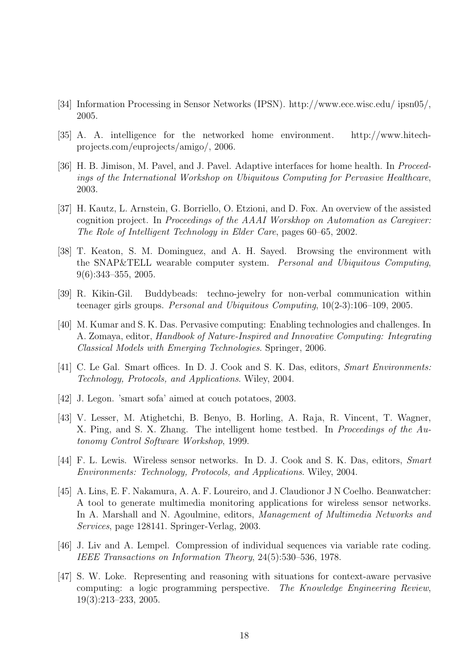- [34] Information Processing in Sensor Networks (IPSN). http://www.ece.wisc.edu/ ipsn05/, 2005.
- [35] A. A. intelligence for the networked home environment. http://www.hitechprojects.com/euprojects/amigo/, 2006.
- [36] H. B. Jimison, M. Pavel, and J. Pavel. Adaptive interfaces for home health. In Proceedings of the International Workshop on Ubiquitous Computing for Pervasive Healthcare, 2003.
- [37] H. Kautz, L. Arnstein, G. Borriello, O. Etzioni, and D. Fox. An overview of the assisted cognition project. In Proceedings of the AAAI Worskhop on Automation as Caregiver: The Role of Intelligent Technology in Elder Care, pages 60–65, 2002.
- [38] T. Keaton, S. M. Dominguez, and A. H. Sayed. Browsing the environment with the SNAP&TELL wearable computer system. Personal and Ubiquitous Computing, 9(6):343–355, 2005.
- [39] R. Kikin-Gil. Buddybeads: techno-jewelry for non-verbal communication within teenager girls groups. Personal and Ubiquitous Computing, 10(2-3):106–109, 2005.
- [40] M. Kumar and S. K. Das. Pervasive computing: Enabling technologies and challenges. In A. Zomaya, editor, Handbook of Nature-Inspired and Innovative Computing: Integrating Classical Models with Emerging Technologies. Springer, 2006.
- [41] C. Le Gal. Smart offices. In D. J. Cook and S. K. Das, editors, Smart Environments: Technology, Protocols, and Applications. Wiley, 2004.
- [42] J. Legon. 'smart sofa' aimed at couch potatoes, 2003.
- [43] V. Lesser, M. Atighetchi, B. Benyo, B. Horling, A. Raja, R. Vincent, T. Wagner, X. Ping, and S. X. Zhang. The intelligent home testbed. In Proceedings of the Autonomy Control Software Workshop, 1999.
- [44] F. L. Lewis. Wireless sensor networks. In D. J. Cook and S. K. Das, editors, Smart Environments: Technology, Protocols, and Applications. Wiley, 2004.
- [45] A. Lins, E. F. Nakamura, A. A. F. Loureiro, and J. Claudionor J N Coelho. Beanwatcher: A tool to generate multimedia monitoring applications for wireless sensor networks. In A. Marshall and N. Agoulmine, editors, Management of Multimedia Networks and Services, page 128141. Springer-Verlag, 2003.
- [46] J. Liv and A. Lempel. Compression of individual sequences via variable rate coding. IEEE Transactions on Information Theory, 24(5):530–536, 1978.
- [47] S. W. Loke. Representing and reasoning with situations for context-aware pervasive computing: a logic programming perspective. The Knowledge Engineering Review, 19(3):213–233, 2005.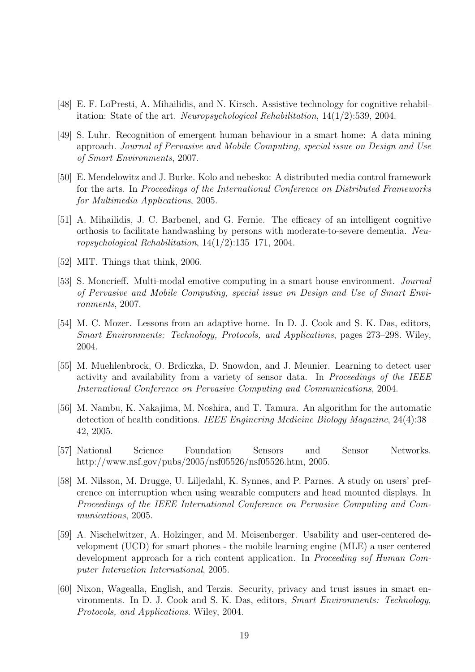- [48] E. F. LoPresti, A. Mihailidis, and N. Kirsch. Assistive technology for cognitive rehabilitation: State of the art. Neuropsychological Rehabilitation,  $14(1/2)$ :539, 2004.
- [49] S. Luhr. Recognition of emergent human behaviour in a smart home: A data mining approach. Journal of Pervasive and Mobile Computing, special issue on Design and Use of Smart Environments, 2007.
- [50] E. Mendelowitz and J. Burke. Kolo and nebesko: A distributed media control framework for the arts. In Proceedings of the International Conference on Distributed Frameworks for Multimedia Applications, 2005.
- [51] A. Mihailidis, J. C. Barbenel, and G. Fernie. The efficacy of an intelligent cognitive orthosis to facilitate handwashing by persons with moderate-to-severe dementia. Neuropsychological Rehabilitation, 14(1/2):135–171, 2004.
- [52] MIT. Things that think, 2006.
- [53] S. Moncrieff. Multi-modal emotive computing in a smart house environment. Journal of Pervasive and Mobile Computing, special issue on Design and Use of Smart Environments, 2007.
- [54] M. C. Mozer. Lessons from an adaptive home. In D. J. Cook and S. K. Das, editors, Smart Environments: Technology, Protocols, and Applications, pages 273–298. Wiley, 2004.
- [55] M. Muehlenbrock, O. Brdiczka, D. Snowdon, and J. Meunier. Learning to detect user activity and availability from a variety of sensor data. In Proceedings of the IEEE International Conference on Pervasive Computing and Communications, 2004.
- [56] M. Nambu, K. Nakajima, M. Noshira, and T. Tamura. An algorithm for the automatic detection of health conditions. IEEE Enginering Medicine Biology Magazine, 24(4):38– 42, 2005.
- [57] National Science Foundation Sensors and Sensor Networks. http://www.nsf.gov/pubs/2005/nsf05526/nsf05526.htm, 2005.
- [58] M. Nilsson, M. Drugge, U. Liljedahl, K. Synnes, and P. Parnes. A study on users' preference on interruption when using wearable computers and head mounted displays. In Proceedings of the IEEE International Conference on Pervasive Computing and Communications, 2005.
- [59] A. Nischelwitzer, A. Holzinger, and M. Meisenberger. Usability and user-centered development (UCD) for smart phones - the mobile learning engine (MLE) a user centered development approach for a rich content application. In Proceeding sof Human Computer Interaction International, 2005.
- [60] Nixon, Wagealla, English, and Terzis. Security, privacy and trust issues in smart environments. In D. J. Cook and S. K. Das, editors, Smart Environments: Technology, Protocols, and Applications. Wiley, 2004.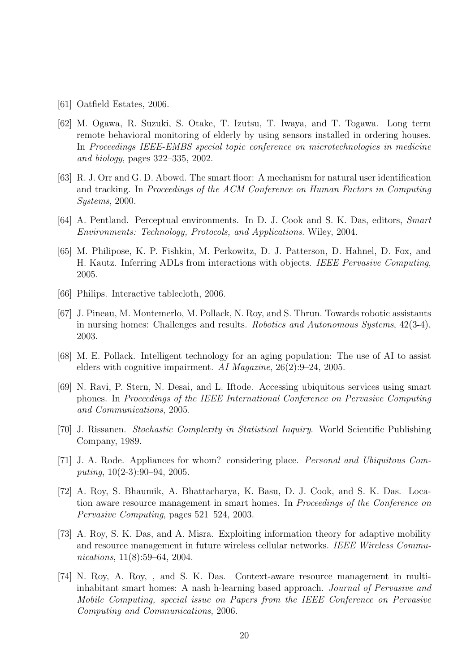- [61] Oatfield Estates, 2006.
- [62] M. Ogawa, R. Suzuki, S. Otake, T. Izutsu, T. Iwaya, and T. Togawa. Long term remote behavioral monitoring of elderly by using sensors installed in ordering houses. In Proceedings IEEE-EMBS special topic conference on microtechnologies in medicine and biology, pages 322–335, 2002.
- [63] R. J. Orr and G. D. Abowd. The smart floor: A mechanism for natural user identification and tracking. In Proceedings of the ACM Conference on Human Factors in Computing Systems, 2000.
- [64] A. Pentland. Perceptual environments. In D. J. Cook and S. K. Das, editors, Smart Environments: Technology, Protocols, and Applications. Wiley, 2004.
- [65] M. Philipose, K. P. Fishkin, M. Perkowitz, D. J. Patterson, D. Hahnel, D. Fox, and H. Kautz. Inferring ADLs from interactions with objects. IEEE Pervasive Computing, 2005.
- [66] Philips. Interactive tablecloth, 2006.
- [67] J. Pineau, M. Montemerlo, M. Pollack, N. Roy, and S. Thrun. Towards robotic assistants in nursing homes: Challenges and results. Robotics and Autonomous Systems, 42(3-4), 2003.
- [68] M. E. Pollack. Intelligent technology for an aging population: The use of AI to assist elders with cognitive impairment. AI Magazine, 26(2):9–24, 2005.
- [69] N. Ravi, P. Stern, N. Desai, and L. Iftode. Accessing ubiquitous services using smart phones. In Proceedings of the IEEE International Conference on Pervasive Computing and Communications, 2005.
- [70] J. Rissanen. Stochastic Complexity in Statistical Inquiry. World Scientific Publishing Company, 1989.
- [71] J. A. Rode. Appliances for whom? considering place. Personal and Ubiquitous Computing, 10(2-3):90–94, 2005.
- [72] A. Roy, S. Bhaumik, A. Bhattacharya, K. Basu, D. J. Cook, and S. K. Das. Location aware resource management in smart homes. In Proceedings of the Conference on Pervasive Computing, pages 521–524, 2003.
- [73] A. Roy, S. K. Das, and A. Misra. Exploiting information theory for adaptive mobility and resource management in future wireless cellular networks. IEEE Wireless Communications, 11(8):59–64, 2004.
- [74] N. Roy, A. Roy, , and S. K. Das. Context-aware resource management in multiinhabitant smart homes: A nash h-learning based approach. Journal of Pervasive and Mobile Computing, special issue on Papers from the IEEE Conference on Pervasive Computing and Communications, 2006.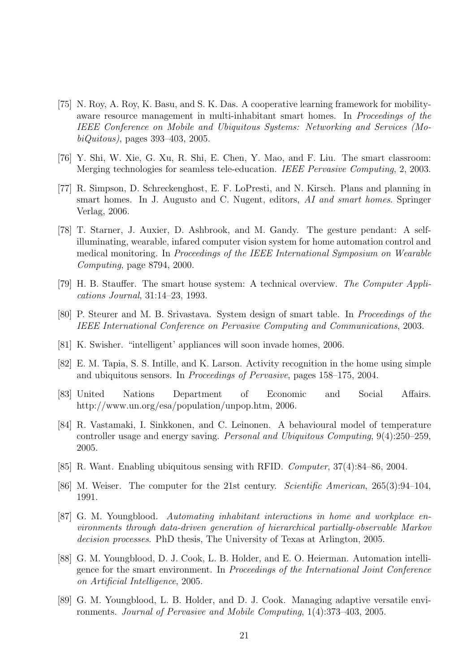- [75] N. Roy, A. Roy, K. Basu, and S. K. Das. A cooperative learning framework for mobilityaware resource management in multi-inhabitant smart homes. In Proceedings of the IEEE Conference on Mobile and Ubiquitous Systems: Networking and Services (MobiQuitous), pages 393–403, 2005.
- [76] Y. Shi, W. Xie, G. Xu, R. Shi, E. Chen, Y. Mao, and F. Liu. The smart classroom: Merging technologies for seamless tele-education. IEEE Pervasive Computing, 2, 2003.
- [77] R. Simpson, D. Schreckenghost, E. F. LoPresti, and N. Kirsch. Plans and planning in smart homes. In J. Augusto and C. Nugent, editors, AI and smart homes. Springer Verlag, 2006.
- [78] T. Starner, J. Auxier, D. Ashbrook, and M. Gandy. The gesture pendant: A selfilluminating, wearable, infared computer vision system for home automation control and medical monitoring. In Proceedings of the IEEE International Symposium on Wearable Computing, page 8794, 2000.
- [79] H. B. Stauffer. The smart house system: A technical overview. The Computer Applications Journal, 31:14–23, 1993.
- [80] P. Steurer and M. B. Srivastava. System design of smart table. In Proceedings of the IEEE International Conference on Pervasive Computing and Communications, 2003.
- [81] K. Swisher. "intelligent' appliances will soon invade homes, 2006.
- [82] E. M. Tapia, S. S. Intille, and K. Larson. Activity recognition in the home using simple and ubiquitous sensors. In Proceedings of Pervasive, pages 158–175, 2004.
- [83] United Nations Department of Economic and Social Affairs. http://www.un.org/esa/population/unpop.htm, 2006.
- [84] R. Vastamaki, I. Sinkkonen, and C. Leinonen. A behavioural model of temperature controller usage and energy saving. Personal and Ubiquitous Computing, 9(4):250–259, 2005.
- [85] R. Want. Enabling ubiquitous sensing with RFID. Computer, 37(4):84–86, 2004.
- [86] M. Weiser. The computer for the 21st century. Scientific American, 265(3):94–104, 1991.
- [87] G. M. Youngblood. Automating inhabitant interactions in home and workplace environments through data-driven generation of hierarchical partially-observable Markov decision processes. PhD thesis, The University of Texas at Arlington, 2005.
- [88] G. M. Youngblood, D. J. Cook, L. B. Holder, and E. O. Heierman. Automation intelligence for the smart environment. In Proceedings of the International Joint Conference on Artificial Intelligence, 2005.
- [89] G. M. Youngblood, L. B. Holder, and D. J. Cook. Managing adaptive versatile environments. Journal of Pervasive and Mobile Computing, 1(4):373–403, 2005.